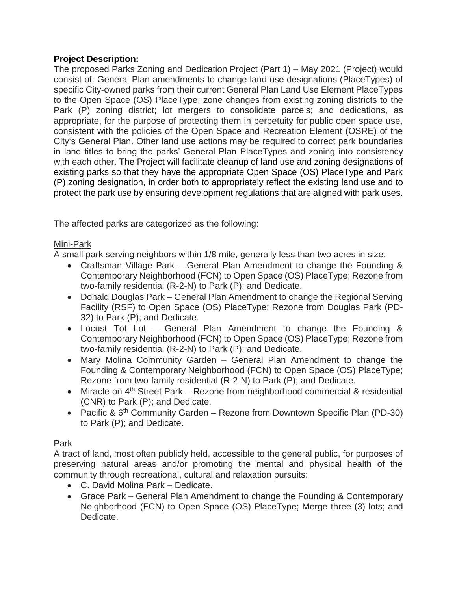## **Project Description:**

The proposed Parks Zoning and Dedication Project (Part 1) – May 2021 (Project) would consist of: General Plan amendments to change land use designations (PlaceTypes) of specific City-owned parks from their current General Plan Land Use Element PlaceTypes to the Open Space (OS) PlaceType; zone changes from existing zoning districts to the Park (P) zoning district; lot mergers to consolidate parcels; and dedications, as appropriate, for the purpose of protecting them in perpetuity for public open space use, consistent with the policies of the Open Space and Recreation Element (OSRE) of the City's General Plan. Other land use actions may be required to correct park boundaries in land titles to bring the parks' General Plan PlaceTypes and zoning into consistency with each other. The Project will facilitate cleanup of land use and zoning designations of existing parks so that they have the appropriate Open Space (OS) PlaceType and Park (P) zoning designation, in order both to appropriately reflect the existing land use and to protect the park use by ensuring development regulations that are aligned with park uses.

The affected parks are categorized as the following:

### Mini-Park

A small park serving neighbors within 1/8 mile, generally less than two acres in size:

- Craftsman Village Park General Plan Amendment to change the Founding & Contemporary Neighborhood (FCN) to Open Space (OS) PlaceType; Rezone from two-family residential (R-2-N) to Park (P); and Dedicate.
- Donald Douglas Park General Plan Amendment to change the Regional Serving Facility (RSF) to Open Space (OS) PlaceType; Rezone from Douglas Park (PD-32) to Park (P); and Dedicate.
- Locust Tot Lot General Plan Amendment to change the Founding & Contemporary Neighborhood (FCN) to Open Space (OS) PlaceType; Rezone from two-family residential (R-2-N) to Park (P); and Dedicate.
- Mary Molina Community Garden General Plan Amendment to change the Founding & Contemporary Neighborhood (FCN) to Open Space (OS) PlaceType; Rezone from two-family residential (R-2-N) to Park (P); and Dedicate.
- Miracle on  $4<sup>th</sup>$  Street Park Rezone from neighborhood commercial & residential (CNR) to Park (P); and Dedicate.
- Pacific &  $6<sup>th</sup>$  Community Garden Rezone from Downtown Specific Plan (PD-30) to Park (P); and Dedicate.

# Park

A tract of land, most often publicly held, accessible to the general public, for purposes of preserving natural areas and/or promoting the mental and physical health of the community through recreational, cultural and relaxation pursuits:

- C. David Molina Park Dedicate.
- Grace Park General Plan Amendment to change the Founding & Contemporary Neighborhood (FCN) to Open Space (OS) PlaceType; Merge three (3) lots; and Dedicate.